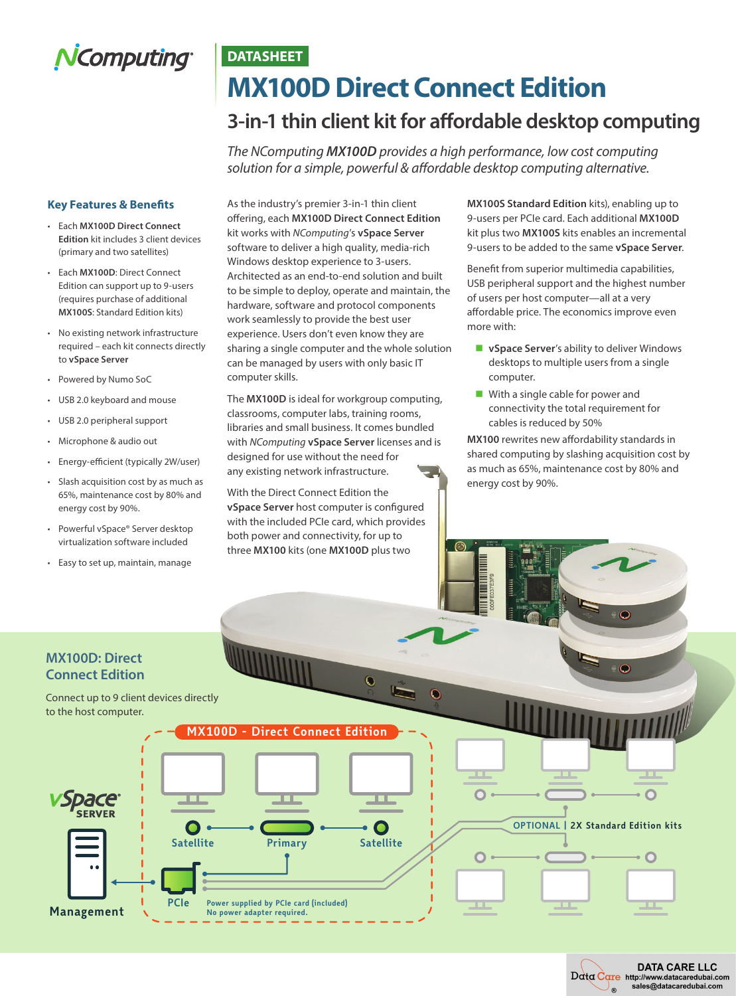# NComputing®

## **DATASHEET MX100D Direct Connect Edition**

### **3-in-1 thin client kit for affordable desktop computing**

*The NComputing MX100D provides a high performance, low cost computing solution for a simple, powerful & affordable desktop computing alternative.* 

### **Key Features & Benefits**

- Each **MX100D Direct Connect Edition** kit includes 3 client devices (primary and two satellites)
- Each **MX100D**: Direct Connect Edition can support up to 9-users (requires purchase of additional **MX100S**: Standard Edition kits)
- No existing network infrastructure required – each kit connects directly to **vSpace Server**
- Powered by Numo SoC
- USB 2.0 keyboard and mouse
- USB 2.0 peripheral support
- Microphone & audio out
- Energy-efficient (typically 2W/user)
- Slash acquisition cost by as much as 65%, maintenance cost by 80% and energy cost by 90%.
- Powerful vSpace® Server desktop virtualization software included
- Easy to set up, maintain, manage

As the industry's premier 3-in-1 thin client offering, each **MX100D Direct Connect Edition** kit works with *NComputing*'s **vSpace Server** software to deliver a high quality, media-rich Windows desktop experience to 3-users. Architected as an end-to-end solution and built to be simple to deploy, operate and maintain, the hardware, software and protocol components work seamlessly to provide the best user experience. Users don't even know they are sharing a single computer and the whole solution can be managed by users with only basic IT computer skills.

The **MX100D** is ideal for workgroup computing, classrooms, computer labs, training rooms, libraries and small business. It comes bundled with *NComputing* **vSpace Server** licenses and is designed for use without the need for any existing network infrastructure.

With the Direct Connect Edition the **vSpace Server** host computer is configured with the included PCIe card, which provides both power and connectivity, for up to three **MX100** kits (one **MX100D** plus two

 $\overline{\mathbf{C}}$ 

**MX100S Standard Edition** kits), enabling up to 9-users per PCIe card. Each additional **MX100D** kit plus two **MX100S** kits enables an incremental 9-users to be added to the same **vSpace Server**.

Benefit from superior multimedia capabilities, USB peripheral support and the highest number of users per host computer—all at a very affordable price. The economics improve even more with:

- **u** vSpace Server's ability to deliver Windows desktops to multiple users from a single computer.
- $\blacksquare$  With a single cable for power and connectivity the total requirement for cables is reduced by 50%

**MX100** rewrites new affordability standards in shared computing by slashing acquisition cost by as much as 65%, maintenance cost by 80% and energy cost by 90%.

### **MX100D: Direct Connect Edition**

Connect up to 9 client devices directly to the host computer.



**OPTIONAL | 2X Standard Edition kits**

 $\overline{\mathbf{O}}$ 

∩

O



 $\circ$ 

- 11